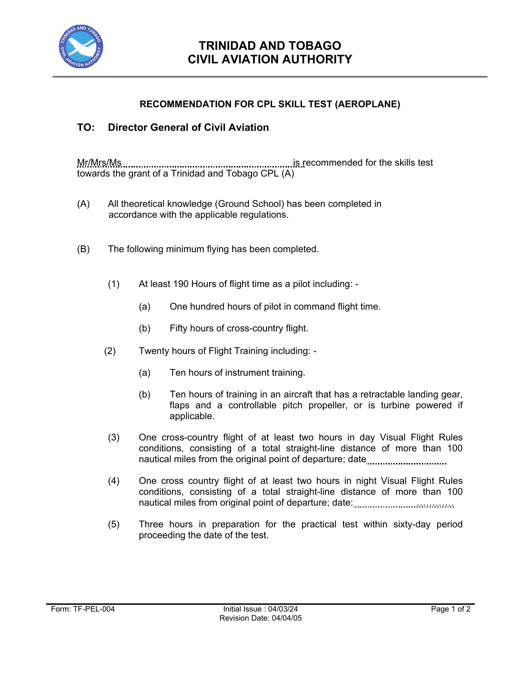

## **TRINIDAD AND TOBAGO CIVIL AVIATION AUTHORITY**

## **RECOMMENDATION FOR CPL SKILL TEST (AEROPLANE)**

## **TO: Director General of Civil Aviation**

Mr/Mrs/Ms is recommended for the skills test towards the grant of a Trinidad and Tobago CPL (A)

- (A) All theoretical knowledge (Ground School) has been completed in accordance with the applicable regulations.
- (B) The following minimum flying has been completed.
	- (1) At least 190 Hours of flight time as a pilot including:
		- (a) One hundred hours of pilot in command flight time.
		- (b) Fifty hours of cross-country flight.
	- (2) Twenty hours of Flight Training including:
		- (a) Ten hours of instrument training.
		- (b) Ten hours of training in an aircraft that has a retractable landing gear, flaps and a controllable pitch propeller, or is turbine powered if applicable.
	- (3) One cross-country flight of at least two hours in day Visual Flight Rules conditions, consisting of a total straight-line distance of more than 100 nautical miles from the original point of departure; date
	- (4) One cross country flight of at least two hours in night Visual Flight Rules conditions, consisting of a total straight-line distance of more than 100 nautical miles from original point of departure; date: …………
	- (5) Three hours in preparation for the practical test within sixty-day period proceeding the date of the test.